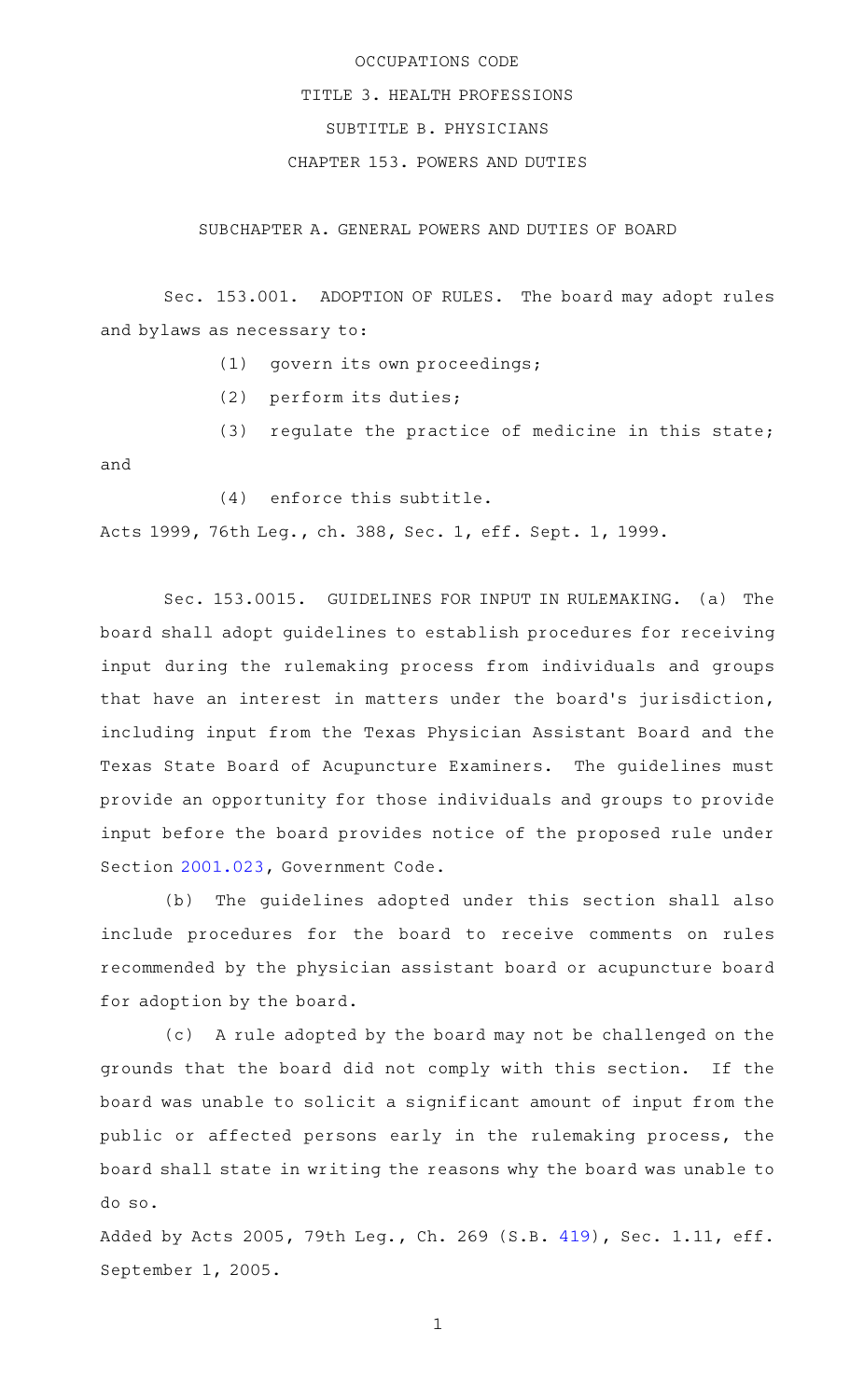## OCCUPATIONS CODE TITLE 3. HEALTH PROFESSIONS SUBTITLE B. PHYSICIANS CHAPTER 153. POWERS AND DUTIES

SUBCHAPTER A. GENERAL POWERS AND DUTIES OF BOARD

Sec. 153.001. ADOPTION OF RULES. The board may adopt rules and bylaws as necessary to:

- $(1)$  qovern its own proceedings;
- (2) perform its duties;

(3) regulate the practice of medicine in this state;

and

 $(4)$  enforce this subtitle.

Acts 1999, 76th Leg., ch. 388, Sec. 1, eff. Sept. 1, 1999.

Sec. 153.0015. GUIDELINES FOR INPUT IN RULEMAKING. (a) The board shall adopt guidelines to establish procedures for receiving input during the rulemaking process from individuals and groups that have an interest in matters under the board's jurisdiction, including input from the Texas Physician Assistant Board and the Texas State Board of Acupuncture Examiners. The guidelines must provide an opportunity for those individuals and groups to provide input before the board provides notice of the proposed rule under Section [2001.023](http://www.statutes.legis.state.tx.us/GetStatute.aspx?Code=GV&Value=2001.023), Government Code.

(b) The guidelines adopted under this section shall also include procedures for the board to receive comments on rules recommended by the physician assistant board or acupuncture board for adoption by the board.

(c) A rule adopted by the board may not be challenged on the grounds that the board did not comply with this section. If the board was unable to solicit a significant amount of input from the public or affected persons early in the rulemaking process, the board shall state in writing the reasons why the board was unable to do so.

Added by Acts 2005, 79th Leg., Ch. 269 (S.B. [419](http://www.legis.state.tx.us/tlodocs/79R/billtext/html/SB00419F.HTM)), Sec. 1.11, eff. September 1, 2005.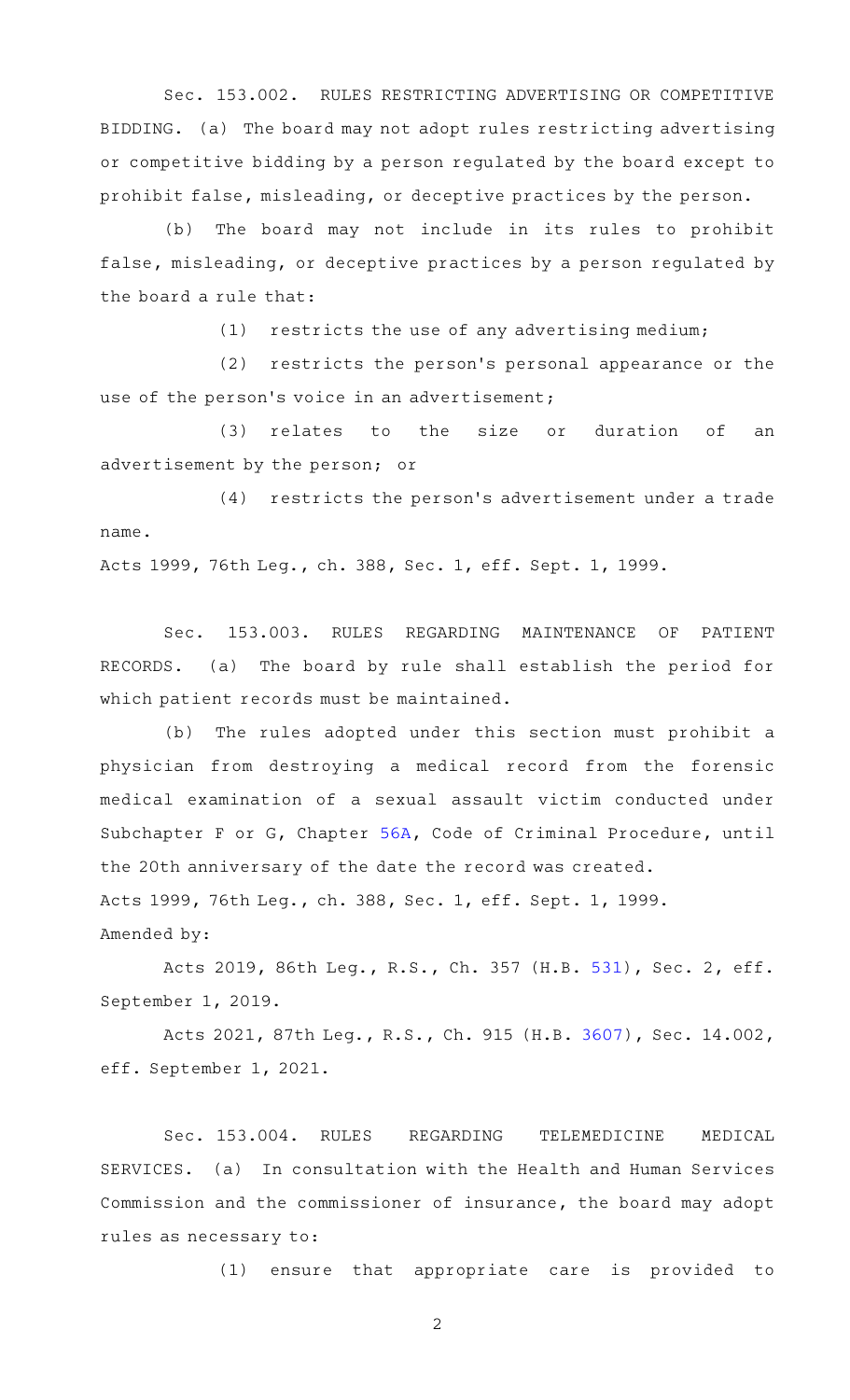Sec. 153.002. RULES RESTRICTING ADVERTISING OR COMPETITIVE BIDDING. (a) The board may not adopt rules restricting advertising or competitive bidding by a person regulated by the board except to prohibit false, misleading, or deceptive practices by the person.

(b) The board may not include in its rules to prohibit false, misleading, or deceptive practices by a person regulated by the board a rule that:

 $(1)$  restricts the use of any advertising medium;

(2) restricts the person's personal appearance or the use of the person's voice in an advertisement;

(3) relates to the size or duration of an advertisement by the person; or

(4) restricts the person's advertisement under a trade name.

Acts 1999, 76th Leg., ch. 388, Sec. 1, eff. Sept. 1, 1999.

Sec. 153.003. RULES REGARDING MAINTENANCE OF PATIENT RECORDS. (a) The board by rule shall establish the period for which patient records must be maintained.

(b) The rules adopted under this section must prohibit a physician from destroying a medical record from the forensic medical examination of a sexual assault victim conducted under Subchapter F or G, Chapter [56A](http://www.statutes.legis.state.tx.us/GetStatute.aspx?Code=CR&Value=56A), Code of Criminal Procedure, until the 20th anniversary of the date the record was created. Acts 1999, 76th Leg., ch. 388, Sec. 1, eff. Sept. 1, 1999. Amended by:

Acts 2019, 86th Leg., R.S., Ch. 357 (H.B. [531](http://www.legis.state.tx.us/tlodocs/86R/billtext/html/HB00531F.HTM)), Sec. 2, eff. September 1, 2019.

Acts 2021, 87th Leg., R.S., Ch. 915 (H.B. [3607\)](http://www.legis.state.tx.us/tlodocs/87R/billtext/html/HB03607F.HTM), Sec. 14.002, eff. September 1, 2021.

Sec. 153.004. RULES REGARDING TELEMEDICINE MEDICAL SERVICES. (a) In consultation with the Health and Human Services Commission and the commissioner of insurance, the board may adopt rules as necessary to:

(1) ensure that appropriate care is provided to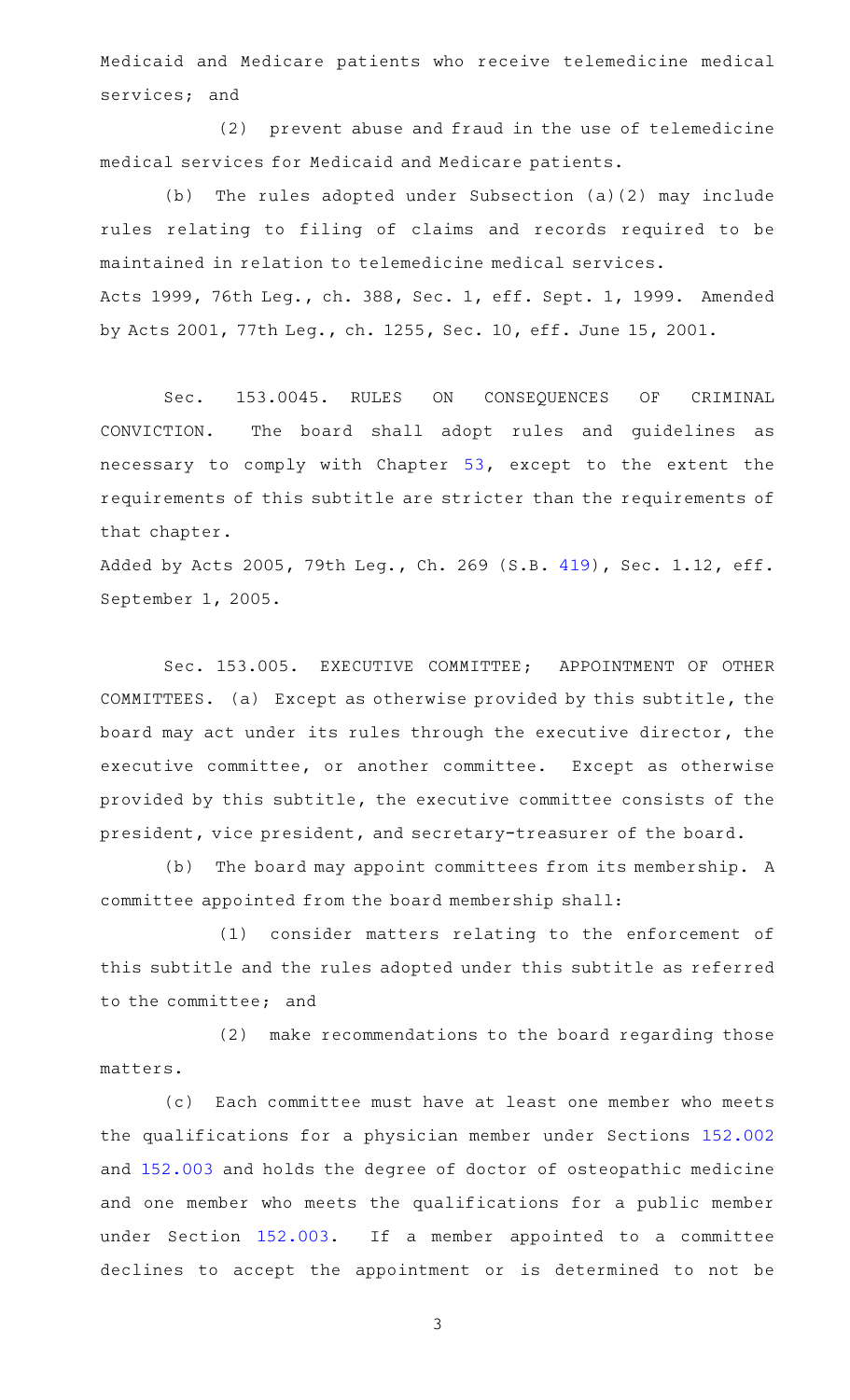Medicaid and Medicare patients who receive telemedicine medical services; and

(2) prevent abuse and fraud in the use of telemedicine medical services for Medicaid and Medicare patients.

(b) The rules adopted under Subsection  $(a)(2)$  may include rules relating to filing of claims and records required to be maintained in relation to telemedicine medical services. Acts 1999, 76th Leg., ch. 388, Sec. 1, eff. Sept. 1, 1999. Amended by Acts 2001, 77th Leg., ch. 1255, Sec. 10, eff. June 15, 2001.

Sec. 153.0045. RULES ON CONSEQUENCES OF CRIMINAL CONVICTION. The board shall adopt rules and guidelines as necessary to comply with Chapter [53,](http://www.statutes.legis.state.tx.us/GetStatute.aspx?Code=OC&Value=53) except to the extent the requirements of this subtitle are stricter than the requirements of that chapter.

Added by Acts 2005, 79th Leg., Ch. 269 (S.B. [419](http://www.legis.state.tx.us/tlodocs/79R/billtext/html/SB00419F.HTM)), Sec. 1.12, eff. September 1, 2005.

Sec. 153.005. EXECUTIVE COMMITTEE; APPOINTMENT OF OTHER COMMITTEES. (a) Except as otherwise provided by this subtitle, the board may act under its rules through the executive director, the executive committee, or another committee. Except as otherwise provided by this subtitle, the executive committee consists of the president, vice president, and secretary-treasurer of the board.

(b) The board may appoint committees from its membership. A committee appointed from the board membership shall:

(1) consider matters relating to the enforcement of this subtitle and the rules adopted under this subtitle as referred to the committee; and

(2) make recommendations to the board regarding those matters.

(c) Each committee must have at least one member who meets the qualifications for a physician member under Sections [152.002](http://www.statutes.legis.state.tx.us/GetStatute.aspx?Code=OC&Value=152.002) and [152.003](http://www.statutes.legis.state.tx.us/GetStatute.aspx?Code=OC&Value=152.003) and holds the degree of doctor of osteopathic medicine and one member who meets the qualifications for a public member under Section [152.003](http://www.statutes.legis.state.tx.us/GetStatute.aspx?Code=OC&Value=152.003). If a member appointed to a committee declines to accept the appointment or is determined to not be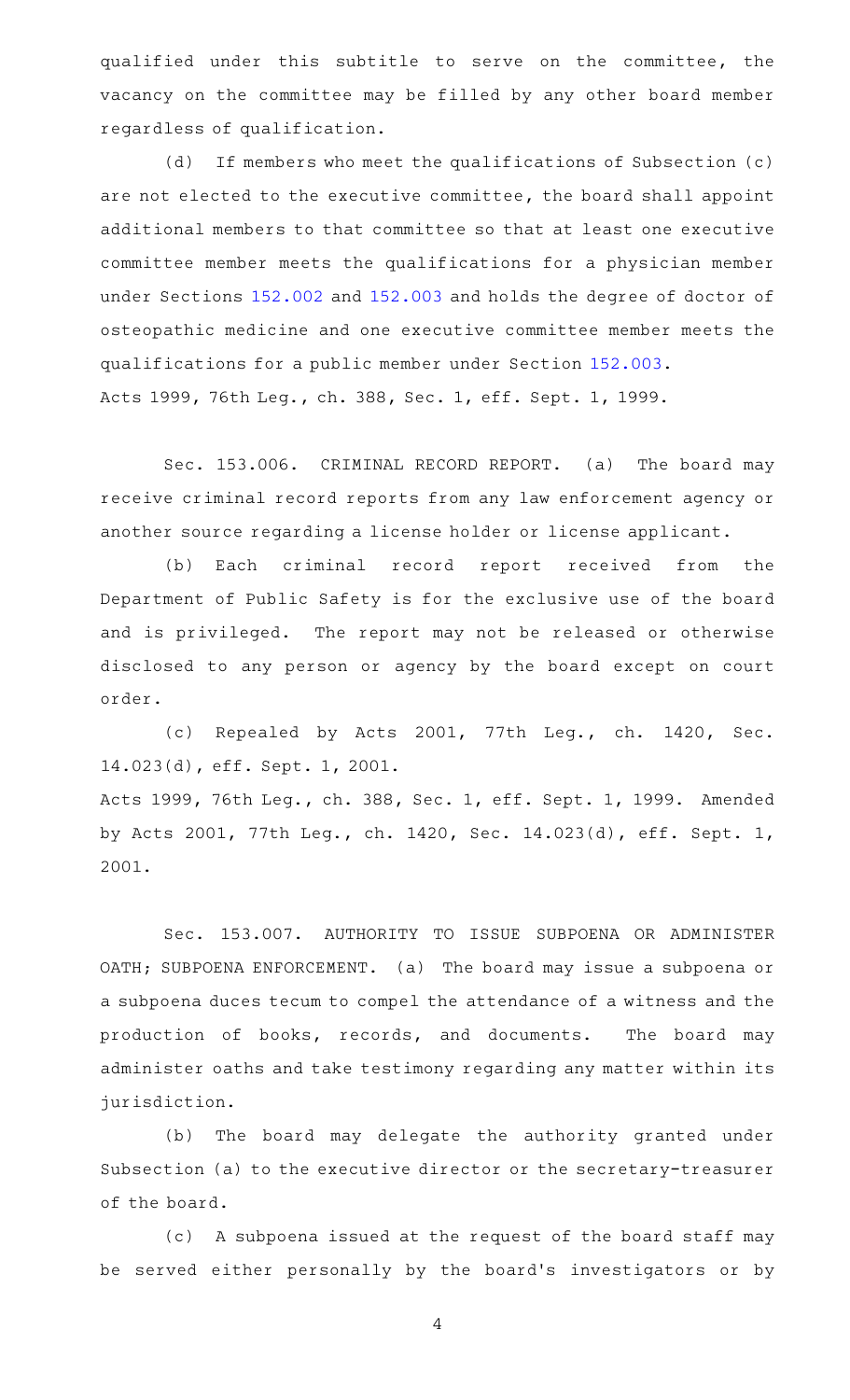qualified under this subtitle to serve on the committee, the vacancy on the committee may be filled by any other board member regardless of qualification.

 $(d)$  If members who meet the qualifications of Subsection  $(c)$ are not elected to the executive committee, the board shall appoint additional members to that committee so that at least one executive committee member meets the qualifications for a physician member under Sections [152.002](http://www.statutes.legis.state.tx.us/GetStatute.aspx?Code=OC&Value=152.002) and [152.003](http://www.statutes.legis.state.tx.us/GetStatute.aspx?Code=OC&Value=152.003) and holds the degree of doctor of osteopathic medicine and one executive committee member meets the qualifications for a public member under Section [152.003](http://www.statutes.legis.state.tx.us/GetStatute.aspx?Code=OC&Value=152.003). Acts 1999, 76th Leg., ch. 388, Sec. 1, eff. Sept. 1, 1999.

Sec. 153.006. CRIMINAL RECORD REPORT. (a) The board may receive criminal record reports from any law enforcement agency or another source regarding a license holder or license applicant.

(b) Each criminal record report received from the Department of Public Safety is for the exclusive use of the board and is privileged. The report may not be released or otherwise disclosed to any person or agency by the board except on court order.

(c) Repealed by Acts 2001, 77th Leg., ch. 1420, Sec. 14.023(d), eff. Sept. 1, 2001.

Acts 1999, 76th Leg., ch. 388, Sec. 1, eff. Sept. 1, 1999. Amended by Acts 2001, 77th Leg., ch. 1420, Sec. 14.023(d), eff. Sept. 1, 2001.

Sec. 153.007. AUTHORITY TO ISSUE SUBPOENA OR ADMINISTER OATH; SUBPOENA ENFORCEMENT. (a) The board may issue a subpoena or a subpoena duces tecum to compel the attendance of a witness and the production of books, records, and documents. The board may administer oaths and take testimony regarding any matter within its jurisdiction.

(b) The board may delegate the authority granted under Subsection (a) to the executive director or the secretary-treasurer of the board.

(c) A subpoena issued at the request of the board staff may be served either personally by the board's investigators or by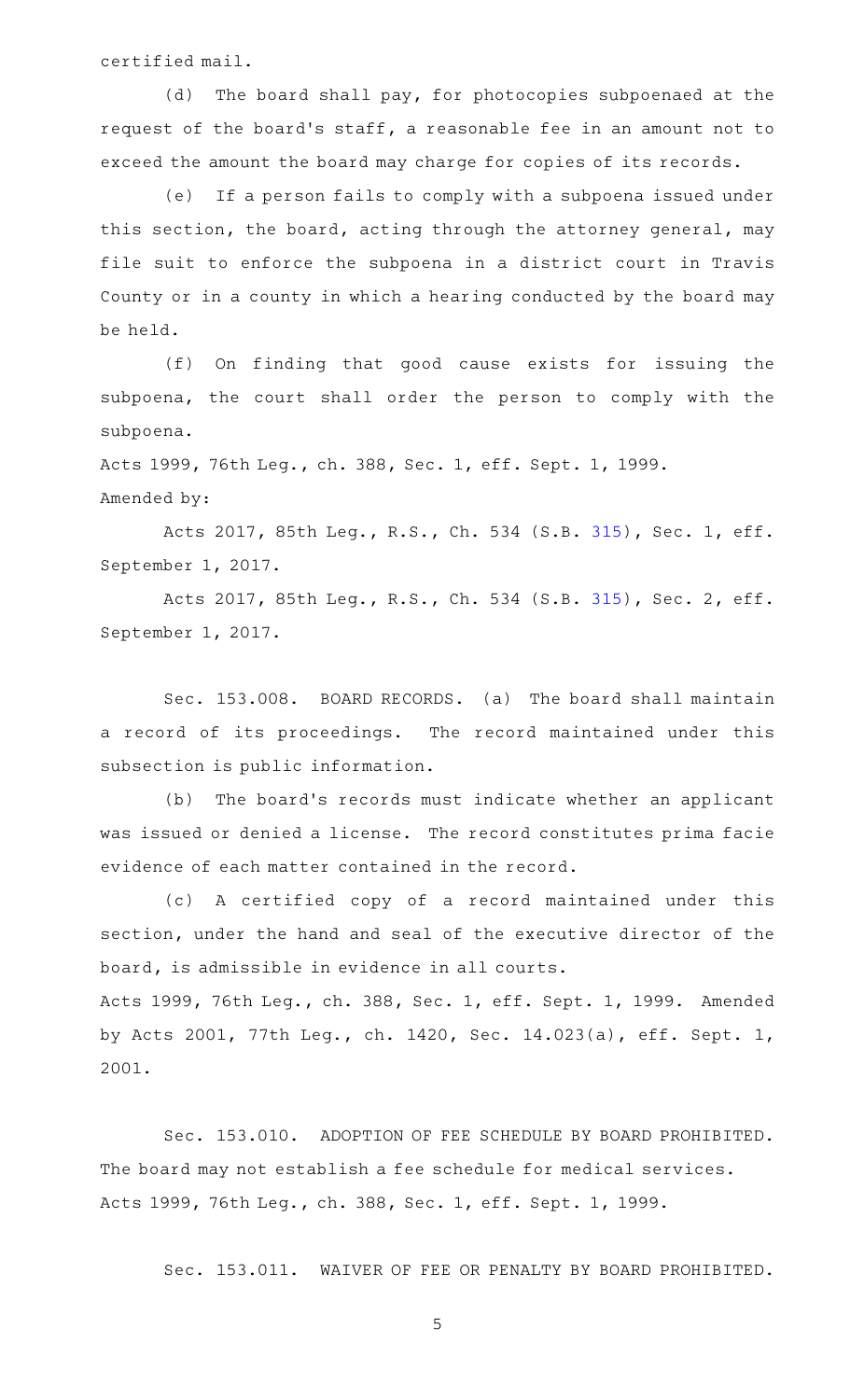certified mail.

(d) The board shall pay, for photocopies subpoenaed at the request of the board's staff, a reasonable fee in an amount not to exceed the amount the board may charge for copies of its records.

(e) If a person fails to comply with a subpoena issued under this section, the board, acting through the attorney general, may file suit to enforce the subpoena in a district court in Travis County or in a county in which a hearing conducted by the board may be held.

(f) On finding that good cause exists for issuing the subpoena, the court shall order the person to comply with the subpoena.

Acts 1999, 76th Leg., ch. 388, Sec. 1, eff. Sept. 1, 1999. Amended by:

Acts 2017, 85th Leg., R.S., Ch. 534 (S.B. [315](http://www.legis.state.tx.us/tlodocs/85R/billtext/html/SB00315F.HTM)), Sec. 1, eff. September 1, 2017.

Acts 2017, 85th Leg., R.S., Ch. 534 (S.B. [315](http://www.legis.state.tx.us/tlodocs/85R/billtext/html/SB00315F.HTM)), Sec. 2, eff. September 1, 2017.

Sec. 153.008. BOARD RECORDS. (a) The board shall maintain a record of its proceedings. The record maintained under this subsection is public information.

(b) The board's records must indicate whether an applicant was issued or denied a license. The record constitutes prima facie evidence of each matter contained in the record.

(c)AAA certified copy of a record maintained under this section, under the hand and seal of the executive director of the board, is admissible in evidence in all courts.

Acts 1999, 76th Leg., ch. 388, Sec. 1, eff. Sept. 1, 1999. Amended by Acts 2001, 77th Leg., ch. 1420, Sec. 14.023(a), eff. Sept. 1, 2001.

Sec. 153.010. ADOPTION OF FEE SCHEDULE BY BOARD PROHIBITED. The board may not establish a fee schedule for medical services. Acts 1999, 76th Leg., ch. 388, Sec. 1, eff. Sept. 1, 1999.

Sec. 153.011. WAIVER OF FEE OR PENALTY BY BOARD PROHIBITED.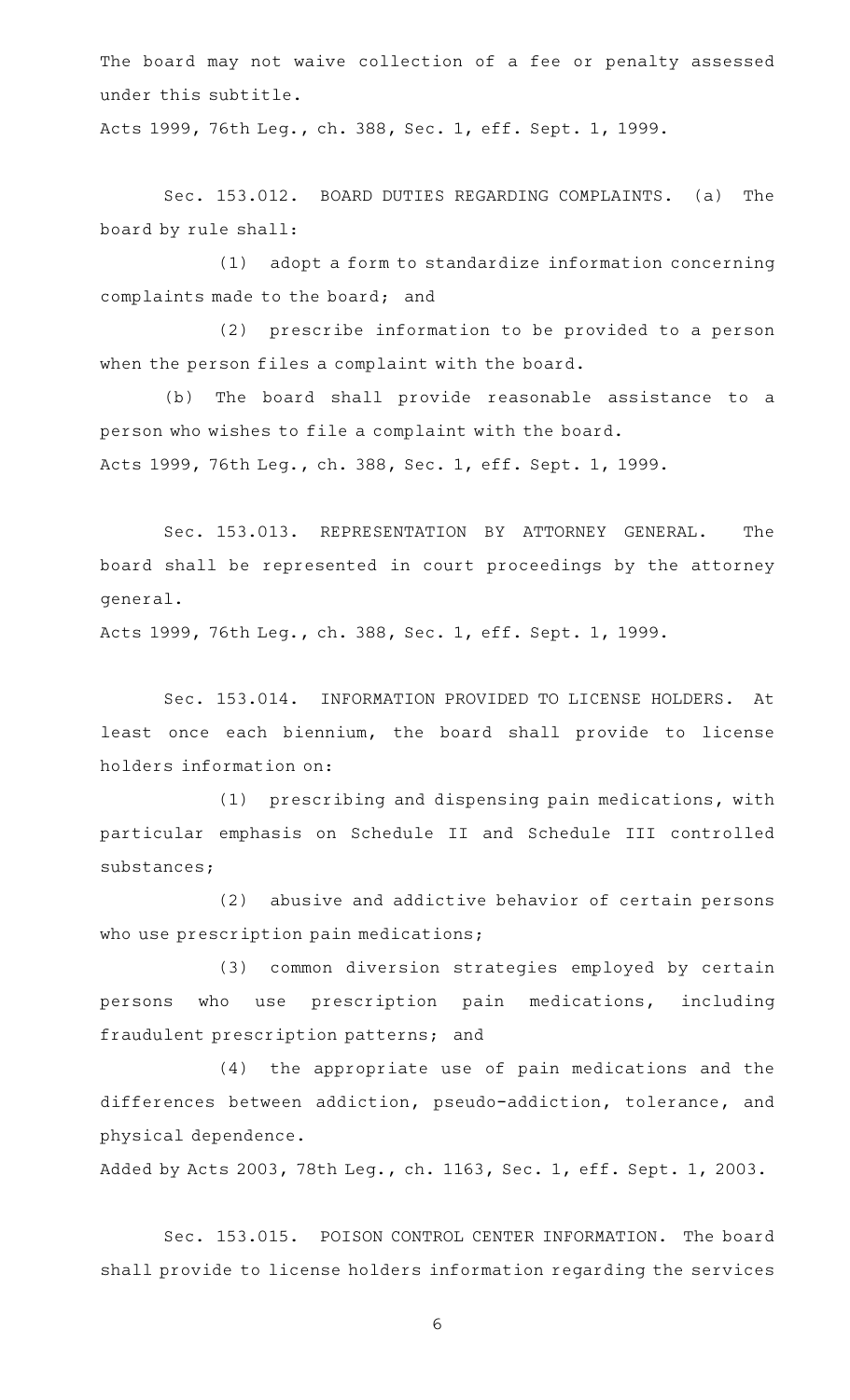The board may not waive collection of a fee or penalty assessed under this subtitle.

Acts 1999, 76th Leg., ch. 388, Sec. 1, eff. Sept. 1, 1999.

Sec. 153.012. BOARD DUTIES REGARDING COMPLAINTS. (a) The board by rule shall:

(1) adopt a form to standardize information concerning complaints made to the board; and

(2) prescribe information to be provided to a person when the person files a complaint with the board.

(b) The board shall provide reasonable assistance to a person who wishes to file a complaint with the board. Acts 1999, 76th Leg., ch. 388, Sec. 1, eff. Sept. 1, 1999.

Sec. 153.013. REPRESENTATION BY ATTORNEY GENERAL. The board shall be represented in court proceedings by the attorney general.

Acts 1999, 76th Leg., ch. 388, Sec. 1, eff. Sept. 1, 1999.

Sec. 153.014. INFORMATION PROVIDED TO LICENSE HOLDERS. At least once each biennium, the board shall provide to license holders information on:

(1) prescribing and dispensing pain medications, with particular emphasis on Schedule II and Schedule III controlled substances;

(2) abusive and addictive behavior of certain persons who use prescription pain medications;

(3) common diversion strategies employed by certain persons who use prescription pain medications, including fraudulent prescription patterns; and

(4) the appropriate use of pain medications and the differences between addiction, pseudo-addiction, tolerance, and physical dependence.

Added by Acts 2003, 78th Leg., ch. 1163, Sec. 1, eff. Sept. 1, 2003.

Sec. 153.015. POISON CONTROL CENTER INFORMATION. The board shall provide to license holders information regarding the services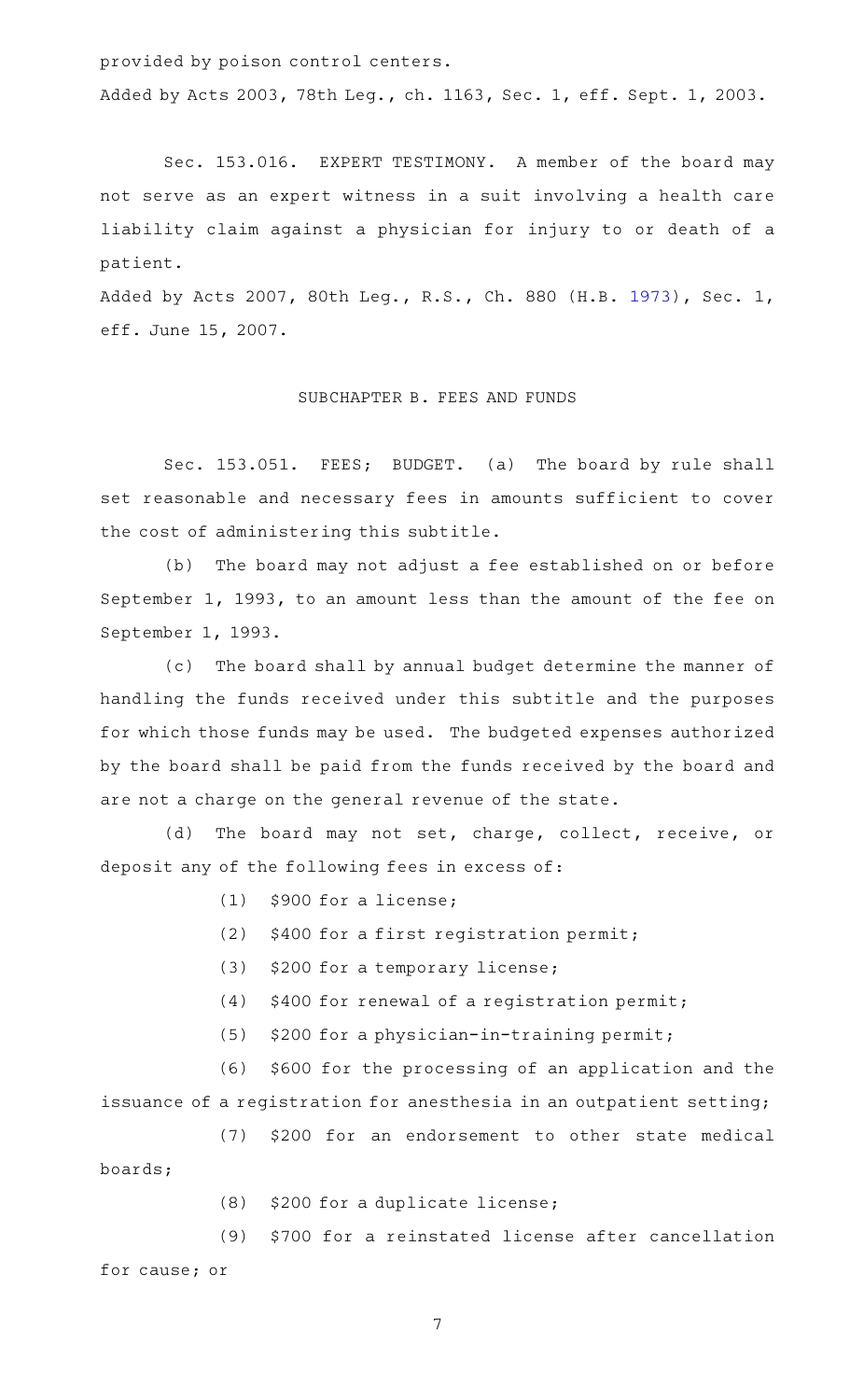provided by poison control centers.

Added by Acts 2003, 78th Leg., ch. 1163, Sec. 1, eff. Sept. 1, 2003.

Sec. 153.016. EXPERT TESTIMONY. A member of the board may not serve as an expert witness in a suit involving a health care liability claim against a physician for injury to or death of a patient.

Added by Acts 2007, 80th Leg., R.S., Ch. 880 (H.B. [1973](http://www.legis.state.tx.us/tlodocs/80R/billtext/html/HB01973F.HTM)), Sec. 1, eff. June 15, 2007.

## SUBCHAPTER B. FEES AND FUNDS

Sec. 153.051. FEES; BUDGET. (a) The board by rule shall set reasonable and necessary fees in amounts sufficient to cover the cost of administering this subtitle.

(b) The board may not adjust a fee established on or before September 1, 1993, to an amount less than the amount of the fee on September 1, 1993.

(c) The board shall by annual budget determine the manner of handling the funds received under this subtitle and the purposes for which those funds may be used. The budgeted expenses authorized by the board shall be paid from the funds received by the board and are not a charge on the general revenue of the state.

(d) The board may not set, charge, collect, receive, or deposit any of the following fees in excess of:

- $(1)$  \$900 for a license;
- (2)  $$400$  for a first registration permit;
- (3) \$200 for a temporary license;
- $(4)$  \$400 for renewal of a registration permit;
- $(5)$  \$200 for a physician-in-training permit;

(6) \$600 for the processing of an application and the issuance of a registration for anesthesia in an outpatient setting;

(7) \$200 for an endorsement to other state medical boards;

 $(8)$  \$200 for a duplicate license;

(9) \$700 for a reinstated license after cancellation for cause; or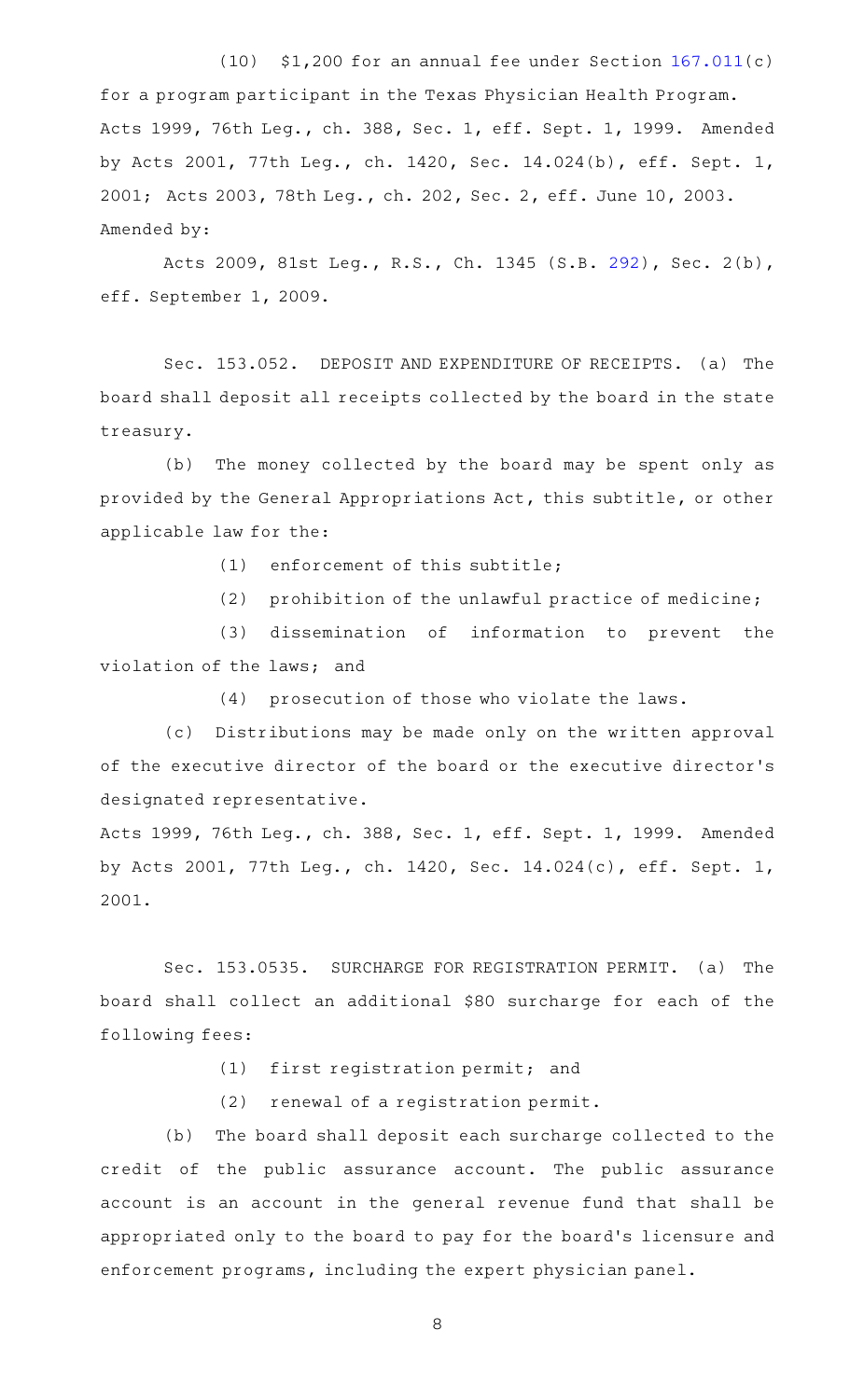(10)  $$1,200$  for an annual fee under Section  $167.011(c)$  $167.011(c)$ for a program participant in the Texas Physician Health Program. Acts 1999, 76th Leg., ch. 388, Sec. 1, eff. Sept. 1, 1999. Amended by Acts 2001, 77th Leg., ch. 1420, Sec. 14.024(b), eff. Sept. 1, 2001; Acts 2003, 78th Leg., ch. 202, Sec. 2, eff. June 10, 2003. Amended by:

Acts 2009, 81st Leg., R.S., Ch. 1345 (S.B. [292\)](http://www.legis.state.tx.us/tlodocs/81R/billtext/html/SB00292F.HTM), Sec. 2(b), eff. September 1, 2009.

Sec. 153.052. DEPOSIT AND EXPENDITURE OF RECEIPTS. (a) The board shall deposit all receipts collected by the board in the state treasury.

(b) The money collected by the board may be spent only as provided by the General Appropriations Act, this subtitle, or other applicable law for the:

 $(1)$  enforcement of this subtitle;

(2) prohibition of the unlawful practice of medicine;

(3) dissemination of information to prevent the violation of the laws; and

 $(4)$  prosecution of those who violate the laws.

(c) Distributions may be made only on the written approval of the executive director of the board or the executive director 's designated representative.

Acts 1999, 76th Leg., ch. 388, Sec. 1, eff. Sept. 1, 1999. Amended by Acts 2001, 77th Leg., ch. 1420, Sec. 14.024(c), eff. Sept. 1, 2001.

Sec. 153.0535. SURCHARGE FOR REGISTRATION PERMIT. (a) The board shall collect an additional \$80 surcharge for each of the following fees:

 $(1)$  first registration permit; and

(2) renewal of a registration permit.

(b) The board shall deposit each surcharge collected to the credit of the public assurance account. The public assurance account is an account in the general revenue fund that shall be appropriated only to the board to pay for the board's licensure and enforcement programs, including the expert physician panel.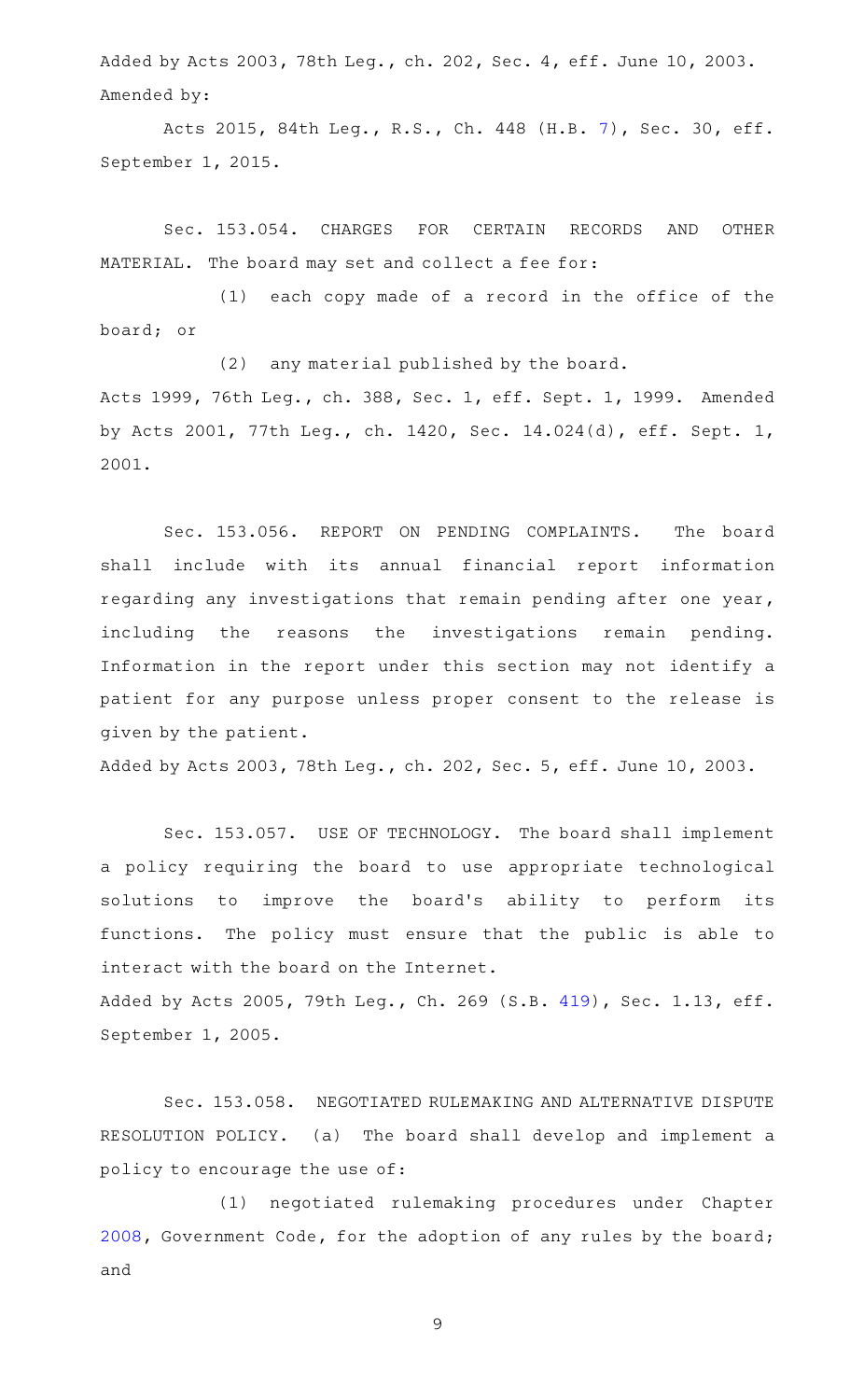Added by Acts 2003, 78th Leg., ch. 202, Sec. 4, eff. June 10, 2003. Amended by:

Acts 2015, 84th Leg., R.S., Ch. 448 (H.B. [7\)](http://www.legis.state.tx.us/tlodocs/84R/billtext/html/HB00007F.HTM), Sec. 30, eff. September 1, 2015.

Sec. 153.054. CHARGES FOR CERTAIN RECORDS AND OTHER MATERIAL. The board may set and collect a fee for:

(1) each copy made of a record in the office of the board; or

(2) any material published by the board. Acts 1999, 76th Leg., ch. 388, Sec. 1, eff. Sept. 1, 1999. Amended by Acts 2001, 77th Leg., ch. 1420, Sec. 14.024(d), eff. Sept. 1, 2001.

Sec. 153.056. REPORT ON PENDING COMPLAINTS. The board shall include with its annual financial report information regarding any investigations that remain pending after one year, including the reasons the investigations remain pending. Information in the report under this section may not identify a patient for any purpose unless proper consent to the release is given by the patient.

Added by Acts 2003, 78th Leg., ch. 202, Sec. 5, eff. June 10, 2003.

Sec. 153.057. USE OF TECHNOLOGY. The board shall implement a policy requiring the board to use appropriate technological solutions to improve the board's ability to perform its functions. The policy must ensure that the public is able to interact with the board on the Internet. Added by Acts 2005, 79th Leg., Ch. 269 (S.B. [419](http://www.legis.state.tx.us/tlodocs/79R/billtext/html/SB00419F.HTM)), Sec. 1.13, eff. September 1, 2005.

Sec. 153.058. NEGOTIATED RULEMAKING AND ALTERNATIVE DISPUTE RESOLUTION POLICY. (a) The board shall develop and implement a policy to encourage the use of:

(1) negotiated rulemaking procedures under Chapter [2008](http://www.statutes.legis.state.tx.us/GetStatute.aspx?Code=GV&Value=2008), Government Code, for the adoption of any rules by the board; and